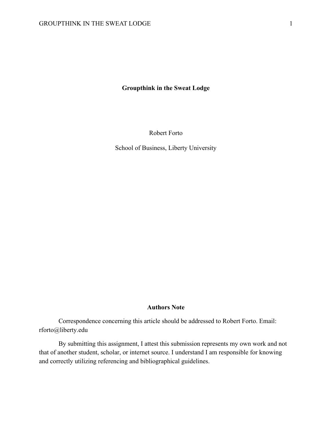**Groupthink in the Sweat Lodge**

Robert Forto

School of Business, Liberty University

#### **Authors Note**

Correspondence concerning this article should be addressed to Robert Forto. Email: rforto@liberty.edu

By submitting this assignment, I attest this submission represents my own work and not that of another student, scholar, or internet source. I understand I am responsible for knowing and correctly utilizing referencing and bibliographical guidelines.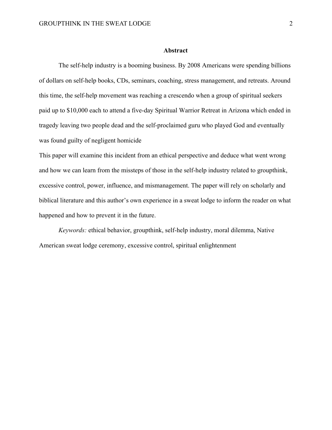#### **Abstract**

The self-help industry is a booming business. By 2008 Americans were spending billions of dollars on self-help books, CDs, seminars, coaching, stress management, and retreats. Around this time, the self-help movement was reaching a crescendo when a group of spiritual seekers paid up to \$10,000 each to attend a five-day Spiritual Warrior Retreat in Arizona which ended in tragedy leaving two people dead and the self-proclaimed guru who played God and eventually was found guilty of negligent homicide

This paper will examine this incident from an ethical perspective and deduce what went wrong and how we can learn from the missteps of those in the self-help industry related to groupthink, excessive control, power, influence, and mismanagement. The paper will rely on scholarly and biblical literature and this author's own experience in a sweat lodge to inform the reader on what happened and how to prevent it in the future.

*Keywords:* ethical behavior, groupthink, self-help industry, moral dilemma, Native American sweat lodge ceremony, excessive control, spiritual enlightenment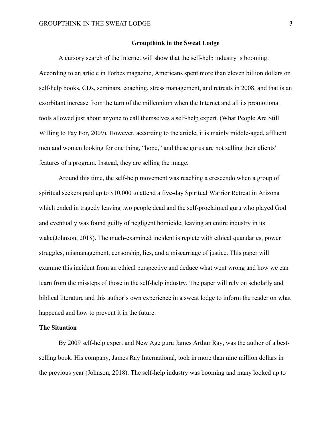## **Groupthink in the Sweat Lodge**

A cursory search of the Internet will show that the self-help industry is booming. According to an article in Forbes magazine, Americans spent more than eleven billion dollars on self-help books, CDs, seminars, coaching, stress management, and retreats in 2008, and that is an exorbitant increase from the turn of the millennium when the Internet and all its promotional tools allowed just about anyone to call themselves a self-help expert. (What People Are Still Willing to Pay For, 2009). However, according to the article, it is mainly middle-aged, affluent men and women looking for one thing, "hope," and these gurus are not selling their clients' features of a program. Instead, they are selling the image.

Around this time, the self-help movement was reaching a crescendo when a group of spiritual seekers paid up to \$10,000 to attend a five-day Spiritual Warrior Retreat in Arizona which ended in tragedy leaving two people dead and the self-proclaimed guru who played God and eventually was found guilty of negligent homicide, leaving an entire industry in its wake(Johnson, 2018). The much-examined incident is replete with ethical quandaries, power struggles, mismanagement, censorship, lies, and a miscarriage of justice. This paper will examine this incident from an ethical perspective and deduce what went wrong and how we can learn from the missteps of those in the self-help industry. The paper will rely on scholarly and biblical literature and this author's own experience in a sweat lodge to inform the reader on what happened and how to prevent it in the future.

## **The Situation**

By 2009 self-help expert and New Age guru James Arthur Ray, was the author of a bestselling book. His company, James Ray International, took in more than nine million dollars in the previous year (Johnson, 2018). The self-help industry was booming and many looked up to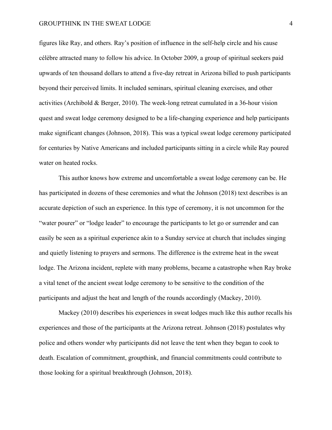## GROUPTHINK IN THE SWEAT LODGE 4

figures like Ray, and others. Ray's position of influence in the self-help circle and his cause célèbre attracted many to follow his advice. In October 2009, a group of spiritual seekers paid upwards of ten thousand dollars to attend a five-day retreat in Arizona billed to push participants beyond their perceived limits. It included seminars, spiritual cleaning exercises, and other activities (Archibold & Berger, 2010). The week-long retreat cumulated in a 36-hour vision quest and sweat lodge ceremony designed to be a life-changing experience and help participants make significant changes (Johnson, 2018). This was a typical sweat lodge ceremony participated for centuries by Native Americans and included participants sitting in a circle while Ray poured water on heated rocks.

This author knows how extreme and uncomfortable a sweat lodge ceremony can be. He has participated in dozens of these ceremonies and what the Johnson (2018) text describes is an accurate depiction of such an experience. In this type of ceremony, it is not uncommon for the "water pourer" or "lodge leader" to encourage the participants to let go or surrender and can easily be seen as a spiritual experience akin to a Sunday service at church that includes singing and quietly listening to prayers and sermons. The difference is the extreme heat in the sweat lodge. The Arizona incident, replete with many problems, became a catastrophe when Ray broke a vital tenet of the ancient sweat lodge ceremony to be sensitive to the condition of the participants and adjust the heat and length of the rounds accordingly (Mackey, 2010).

Mackey (2010) describes his experiences in sweat lodges much like this author recalls his experiences and those of the participants at the Arizona retreat. Johnson (2018) postulates why police and others wonder why participants did not leave the tent when they began to cook to death. Escalation of commitment, groupthink, and financial commitments could contribute to those looking for a spiritual breakthrough (Johnson, 2018).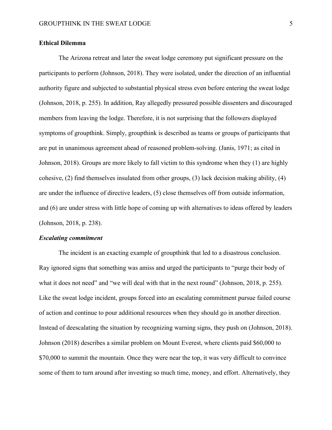## **Ethical Dilemma**

The Arizona retreat and later the sweat lodge ceremony put significant pressure on the participants to perform (Johnson, 2018). They were isolated, under the direction of an influential authority figure and subjected to substantial physical stress even before entering the sweat lodge (Johnson, 2018, p. 255). In addition, Ray allegedly pressured possible dissenters and discouraged members from leaving the lodge. Therefore, it is not surprising that the followers displayed symptoms of groupthink. Simply, groupthink is described as teams or groups of participants that are put in unanimous agreement ahead of reasoned problem-solving. (Janis, 1971; as cited in Johnson, 2018). Groups are more likely to fall victim to this syndrome when they (1) are highly cohesive, (2) find themselves insulated from other groups, (3) lack decision making ability, (4) are under the influence of directive leaders, (5) close themselves off from outside information, and (6) are under stress with little hope of coming up with alternatives to ideas offered by leaders (Johnson, 2018, p. 238).

#### *Escalating commitment*

The incident is an exacting example of groupthink that led to a disastrous conclusion. Ray ignored signs that something was amiss and urged the participants to "purge their body of what it does not need" and "we will deal with that in the next round" (Johnson, 2018, p. 255). Like the sweat lodge incident, groups forced into an escalating commitment pursue failed course of action and continue to pour additional resources when they should go in another direction. Instead of deescalating the situation by recognizing warning signs, they push on (Johnson, 2018). Johnson (2018) describes a similar problem on Mount Everest, where clients paid \$60,000 to \$70,000 to summit the mountain. Once they were near the top, it was very difficult to convince some of them to turn around after investing so much time, money, and effort. Alternatively, they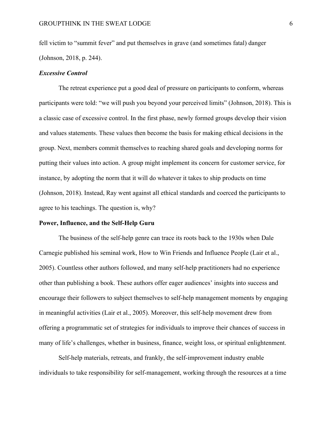fell victim to "summit fever" and put themselves in grave (and sometimes fatal) danger (Johnson, 2018, p. 244).

#### *Excessive Control*

The retreat experience put a good deal of pressure on participants to conform, whereas participants were told: "we will push you beyond your perceived limits" (Johnson, 2018). This is a classic case of excessive control. In the first phase, newly formed groups develop their vision and values statements. These values then become the basis for making ethical decisions in the group. Next, members commit themselves to reaching shared goals and developing norms for putting their values into action. A group might implement its concern for customer service, for instance, by adopting the norm that it will do whatever it takes to ship products on time (Johnson, 2018). Instead, Ray went against all ethical standards and coerced the participants to agree to his teachings. The question is, why?

#### **Power, Influence, and the Self-Help Guru**

The business of the self-help genre can trace its roots back to the 1930s when Dale Carnegie published his seminal work, How to Win Friends and Influence People (Lair et al., 2005). Countless other authors followed, and many self-help practitioners had no experience other than publishing a book. These authors offer eager audiences' insights into success and encourage their followers to subject themselves to self-help management moments by engaging in meaningful activities (Lair et al., 2005). Moreover, this self-help movement drew from offering a programmatic set of strategies for individuals to improve their chances of success in many of life's challenges, whether in business, finance, weight loss, or spiritual enlightenment.

Self-help materials, retreats, and frankly, the self-improvement industry enable individuals to take responsibility for self-management, working through the resources at a time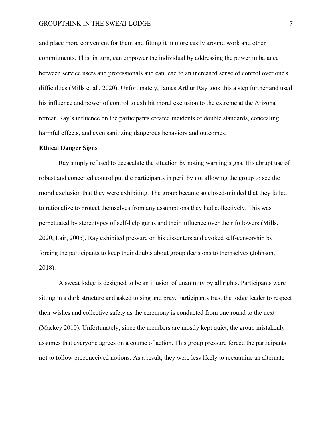## GROUPTHINK IN THE SWEAT LODGE 7

and place more convenient for them and fitting it in more easily around work and other commitments. This, in turn, can empower the individual by addressing the power imbalance between service users and professionals and can lead to an increased sense of control over one's difficulties (Mills et al., 2020). Unfortunately, James Arthur Ray took this a step further and used his influence and power of control to exhibit moral exclusion to the extreme at the Arizona retreat. Ray's influence on the participants created incidents of double standards, concealing harmful effects, and even sanitizing dangerous behaviors and outcomes.

#### **Ethical Danger Signs**

Ray simply refused to deescalate the situation by noting warning signs. His abrupt use of robust and concerted control put the participants in peril by not allowing the group to see the moral exclusion that they were exhibiting. The group became so closed-minded that they failed to rationalize to protect themselves from any assumptions they had collectively. This was perpetuated by stereotypes of self-help gurus and their influence over their followers (Mills, 2020; Lair, 2005). Ray exhibited pressure on his dissenters and evoked self-censorship by forcing the participants to keep their doubts about group decisions to themselves (Johnson, 2018).

A sweat lodge is designed to be an illusion of unanimity by all rights. Participants were sitting in a dark structure and asked to sing and pray. Participants trust the lodge leader to respect their wishes and collective safety as the ceremony is conducted from one round to the next (Mackey 2010). Unfortunately, since the members are mostly kept quiet, the group mistakenly assumes that everyone agrees on a course of action. This group pressure forced the participants not to follow preconceived notions. As a result, they were less likely to reexamine an alternate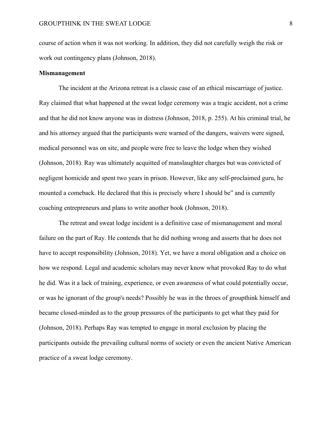course of action when it was not working. In addition, they did not carefully weigh the risk or work out contingency plans (Johnson, 2018).

# **Mismanagement**

The incident at the Arizona retreat is a classic case of an ethical miscarriage of justice. Ray claimed that what happened at the sweat lodge ceremony was a tragic accident, not a crime and that he did not know anyone was in distress (Johnson, 2018, p. 255). At his criminal trial, he and his attorney argued that the participants were warned of the dangers, waivers were signed, medical personnel was on site, and people were free to leave the lodge when they wished (Johnson, 2018). Ray was ultimately acquitted of manslaughter charges but was convicted of negligent homicide and spent two years in prison. However, like any self-proclaimed guru, he mounted a comeback. He declared that this is precisely where I should be" and is currently coaching entrepreneurs and plans to write another book (Johnson, 2018).

The retreat and sweat lodge incident is a definitive case of mismanagement and moral failure on the part of Ray. He contends that he did nothing wrong and asserts that he does not have to accept responsibility (Johnson, 2018). Yet, we have a moral obligation and a choice on how we respond. Legal and academic scholars may never know what provoked Ray to do what he did. Was it a lack of training, experience, or even awareness of what could potentially occur, or was he ignorant of the group's needs? Possibly he was in the throes of groupthink himself and became closed-minded as to the group pressures of the participants to get what they paid for (Johnson, 2018). Perhaps Ray was tempted to engage in moral exclusion by placing the participants outside the prevailing cultural norms of society or even the ancient Native American practice of a sweat lodge ceremony.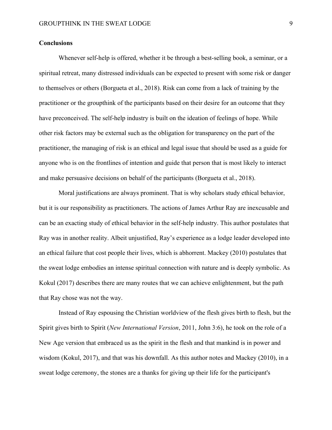# **Conclusions**

Whenever self-help is offered, whether it be through a best-selling book, a seminar, or a spiritual retreat, many distressed individuals can be expected to present with some risk or danger to themselves or others (Borgueta et al., 2018). Risk can come from a lack of training by the practitioner or the groupthink of the participants based on their desire for an outcome that they have preconceived. The self-help industry is built on the ideation of feelings of hope. While other risk factors may be external such as the obligation for transparency on the part of the practitioner, the managing of risk is an ethical and legal issue that should be used as a guide for anyone who is on the frontlines of intention and guide that person that is most likely to interact and make persuasive decisions on behalf of the participants (Borgueta et al., 2018).

Moral justifications are always prominent. That is why scholars study ethical behavior, but it is our responsibility as practitioners. The actions of James Arthur Ray are inexcusable and can be an exacting study of ethical behavior in the self-help industry. This author postulates that Ray was in another reality. Albeit unjustified, Ray's experience as a lodge leader developed into an ethical failure that cost people their lives, which is abhorrent. Mackey (2010) postulates that the sweat lodge embodies an intense spiritual connection with nature and is deeply symbolic. As Kokul (2017) describes there are many routes that we can achieve enlightenment, but the path that Ray chose was not the way.

Instead of Ray espousing the Christian worldview of the flesh gives birth to flesh, but the Spirit gives birth to Spirit (*New International Version*, 2011, John 3:6), he took on the role of a New Age version that embraced us as the spirit in the flesh and that mankind is in power and wisdom (Kokul, 2017), and that was his downfall. As this author notes and Mackey (2010), in a sweat lodge ceremony, the stones are a thanks for giving up their life for the participant's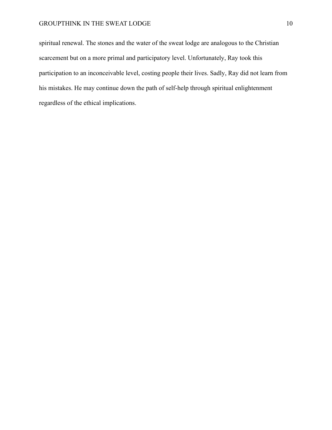# GROUPTHINK IN THE SWEAT LODGE 10

spiritual renewal. The stones and the water of the sweat lodge are analogous to the Christian scarcement but on a more primal and participatory level. Unfortunately, Ray took this participation to an inconceivable level, costing people their lives. Sadly, Ray did not learn from his mistakes. He may continue down the path of self-help through spiritual enlightenment regardless of the ethical implications.